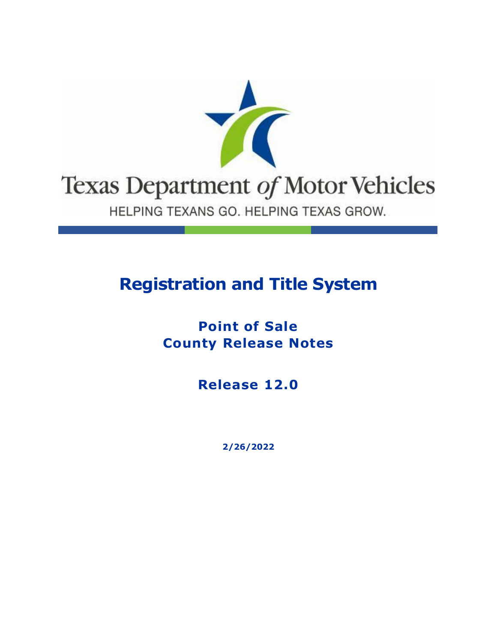

## **Registration and Title System**

**Point of Sale County Release Notes**

**Release 12.0**

**2/26/2022**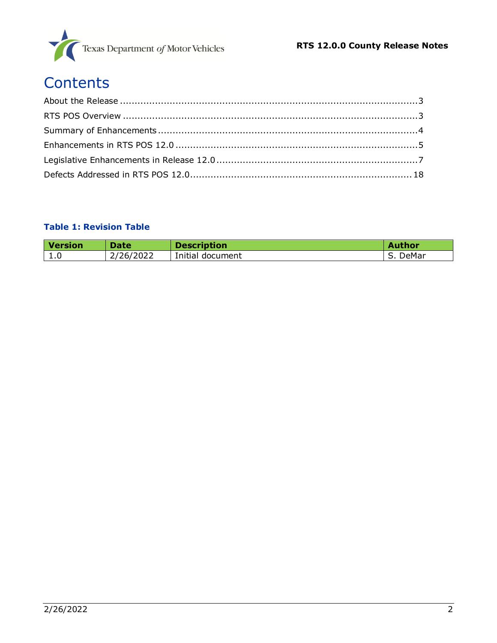

# **Contents**

#### **Table 1: Revision Table**

| <b>Version</b> | <b>Date</b> | <b>Description</b> | <b>Author</b> |
|----------------|-------------|--------------------|---------------|
| 1.0            | 2/26/2022   | Initial document   | DeMar         |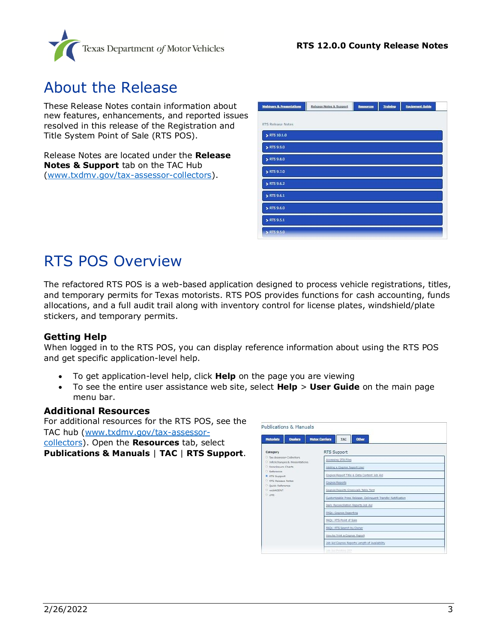

### <span id="page-2-0"></span>About the Release

These Release Notes contain information about new features, enhancements, and reported issues resolved in this release of the Registration and Title System Point of Sale (RTS POS).

Release Notes are located under the **Release Notes & Support** tab on the TAC Hub [\(www.txdmv.gov/tax-assessor-collectors\)](http://www.txdmv.gov/tax-assessor-collectors).

| <b>Webinars &amp; Presentations</b> | Release Notes & Support | Resources | <b>Training</b> | <b>Equipment Guide</b> |  |
|-------------------------------------|-------------------------|-----------|-----------------|------------------------|--|
| RTS Release Notes                   |                         |           |                 |                        |  |
|                                     |                         |           |                 |                        |  |
| > RTS 10.1.0                        |                         |           |                 |                        |  |
| > RTS 9.9.0                         |                         |           |                 |                        |  |
| > RTS 9.8.0                         |                         |           |                 |                        |  |
| > RTS 9.7.0                         |                         |           |                 |                        |  |
| ETS 9.6.2                           |                         |           |                 |                        |  |
| RTS 9.6.1                           |                         |           |                 |                        |  |
| > RTS 9.6.0                         |                         |           |                 |                        |  |
| > RTS 9.5.1                         |                         |           |                 |                        |  |
| > RTS 9.5.0                         |                         |           |                 |                        |  |

## <span id="page-2-1"></span>RTS POS Overview

The refactored RTS POS is a web-based application designed to process vehicle registrations, titles, and temporary permits for Texas motorists. RTS POS provides functions for cash accounting, funds allocations, and a full audit trail along with inventory control for license plates, windshield/plate stickers, and temporary permits.

#### **Getting Help**

When logged in to the RTS POS, you can display reference information about using the RTS POS and get specific application-level help.

- To get application-level help, click **Help** on the page you are viewing
- To see the entire user assistance web site, select **Help** > **User Guide** on the main page menu bar.

#### **Additional Resources**

For additional resources for the RTS POS, see the TAC hub [\(www.txdmv.gov/tax-assessor](http://www.txdmv.gov/tax-assessor-collectors)[collectors\)](http://www.txdmv.gov/tax-assessor-collectors). Open the **Resources** tab, select **Publications & Manuals** | **TAC** | **RTS Support**.

| <b>Publications &amp; Manuals</b>                            |                                                              |  |  |
|--------------------------------------------------------------|--------------------------------------------------------------|--|--|
| Dealers<br><b>Motorists</b>                                  | <b>Motor Carriers</b><br>Other<br>TAC                        |  |  |
| Category                                                     | RTS Support                                                  |  |  |
| D. Tax Assessor-Collectors<br>D InfoXchanges & Presentations | Accessing DTA Files                                          |  |  |
| D. Foreclosure Charts                                        | Adding a Cognos Report User                                  |  |  |
| D. Reference<br>RTS Support                                  | Cognos Report Title & Data Content Job Aid                   |  |  |
| RTS Release Notes                                            | <b>Cognos Reports</b>                                        |  |  |
| <sup>D</sup> Duick Reference<br>D. webAGENT<br>$D$ LMS       | Cognos Reports Crosswalk Table Tent                          |  |  |
|                                                              | Customizable Press Release: Delinquent Transfer Notification |  |  |
|                                                              | Daily Reconciliation Reports Job Aid                         |  |  |
|                                                              | FAQs: Cognos Reporting                                       |  |  |
|                                                              | FAQs: RTS Point of Sale                                      |  |  |
|                                                              | FAOs: RTS Search by Owner                                    |  |  |
|                                                              | How to Print a Cognos Report                                 |  |  |
|                                                              | Job Aid Coonas Reports Length of Availability                |  |  |
|                                                              | lion dies Privative Terr                                     |  |  |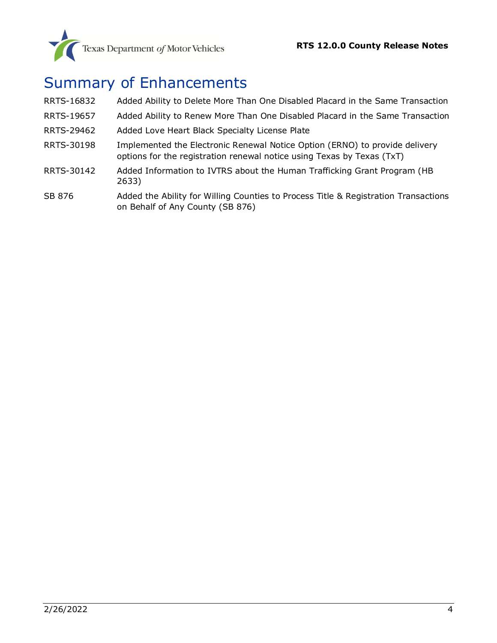## <span id="page-3-0"></span>Summary of Enhancements

| RRTS-16832 | Added Ability to Delete More Than One Disabled Placard in the Same Transaction                                                                        |
|------------|-------------------------------------------------------------------------------------------------------------------------------------------------------|
| RRTS-19657 | Added Ability to Renew More Than One Disabled Placard in the Same Transaction                                                                         |
| RRTS-29462 | Added Love Heart Black Specialty License Plate                                                                                                        |
| RRTS-30198 | Implemented the Electronic Renewal Notice Option (ERNO) to provide delivery<br>options for the registration renewal notice using Texas by Texas (TxT) |
| RRTS-30142 | Added Information to IVTRS about the Human Trafficking Grant Program (HB<br>2633)                                                                     |
| SB 876     | Added the Ability for Willing Counties to Process Title & Registration Transactions                                                                   |

SB 876 Added the Ability for Willing Counties to Process Title & Registration Transactions [on Behalf of Any County \(SB 876\)](#page-6-2)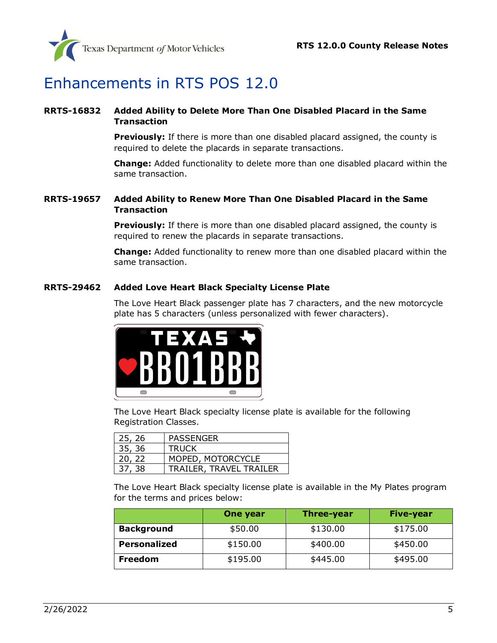

## <span id="page-4-0"></span>Enhancements in RTS POS 12.0

#### <span id="page-4-1"></span>**RRTS-16832 Added Ability to Delete More Than One Disabled Placard in the Same Transaction**

**Previously:** If there is more than one disabled placard assigned, the county is required to delete the placards in separate transactions.

**Change:** Added functionality to delete more than one disabled placard within the same transaction.

#### <span id="page-4-2"></span>**RRTS-19657 Added Ability to Renew More Than One Disabled Placard in the Same Transaction**

**Previously:** If there is more than one disabled placard assigned, the county is required to renew the placards in separate transactions.

**Change:** Added functionality to renew more than one disabled placard within the same transaction.

#### <span id="page-4-3"></span>**RRTS-29462 Added Love Heart Black Specialty License Plate**

The Love Heart Black passenger plate has 7 characters, and the new motorcycle plate has 5 characters (unless personalized with fewer characters).



The Love Heart Black specialty license plate is available for the following Registration Classes.

| 25, 26 | <b>PASSENGER</b>        |
|--------|-------------------------|
| 35, 36 | <b>TRUCK</b>            |
| 20, 22 | MOPED, MOTORCYCLE       |
| 37, 38 | TRAILER, TRAVEL TRAILER |

The Love Heart Black specialty license plate is available in the My Plates program for the terms and prices below:

|                     | One year | <b>Three-year</b> | Five-year |
|---------------------|----------|-------------------|-----------|
| <b>Background</b>   | \$50.00  | \$130.00          | \$175.00  |
| <b>Personalized</b> | \$150.00 | \$400.00          | \$450.00  |
| Freedom             | \$195.00 | \$445.00          | \$495.00  |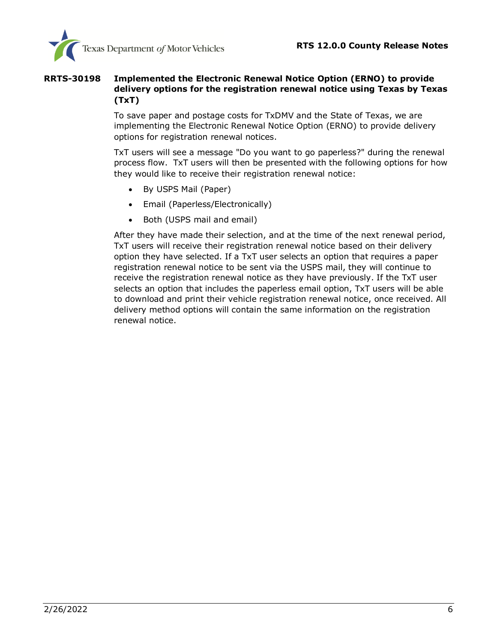

#### <span id="page-5-0"></span>**RRTS-30198 Implemented the Electronic Renewal Notice Option (ERNO) to provide delivery options for the registration renewal notice using Texas by Texas (TxT)**

To save paper and postage costs for TxDMV and the State of Texas, we are implementing the Electronic Renewal Notice Option (ERNO) to provide delivery options for registration renewal notices.

TxT users will see a message "Do you want to go paperless?" during the renewal process flow. TxT users will then be presented with the following options for how they would like to receive their registration renewal notice:

- By USPS Mail (Paper)
- Email (Paperless/Electronically)
- Both (USPS mail and email)

After they have made their selection, and at the time of the next renewal period, TxT users will receive their registration renewal notice based on their delivery option they have selected. If a TxT user selects an option that requires a paper registration renewal notice to be sent via the USPS mail, they will continue to receive the registration renewal notice as they have previously. If the TxT user selects an option that includes the paperless email option, TxT users will be able to download and print their vehicle registration renewal notice, once received. All delivery method options will contain the same information on the registration renewal notice.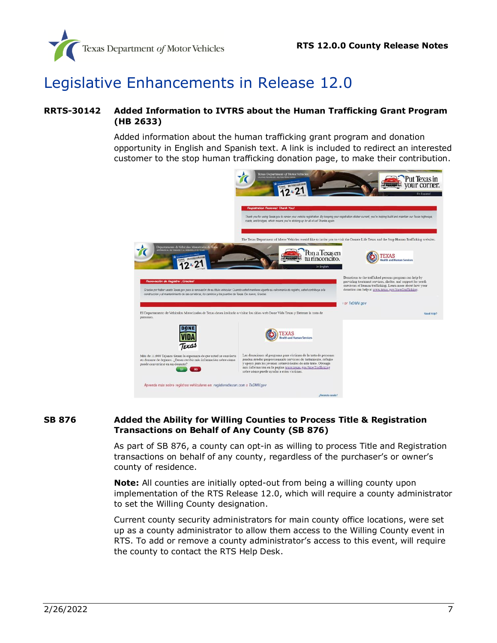

### <span id="page-6-0"></span>Legislative Enhancements in Release 12.0

#### <span id="page-6-1"></span>**RRTS-30142 Added Information to IVTRS about the Human Trafficking Grant Program (HB 2633)**

Added information about the human trafficking grant program and donation opportunity in English and Spanish text. A link is included to redirect an interested customer to the stop human trafficking donation page, to make their contribution.



#### <span id="page-6-2"></span>**SB 876 Added the Ability for Willing Counties to Process Title & Registration Transactions on Behalf of Any County (SB 876)**

As part of SB 876, a county can opt-in as willing to process Title and Registration transactions on behalf of any county, regardless of the purchaser's or owner's county of residence.

**Note:** All counties are initially opted-out from being a willing county upon implementation of the RTS Release 12.0, which will require a county administrator to set the Willing County designation.

Current county security administrators for main county office locations, were set up as a county administrator to allow them access to the Willing County event in RTS. To add or remove a county administrator's access to this event, will require the county to contact the RTS Help Desk.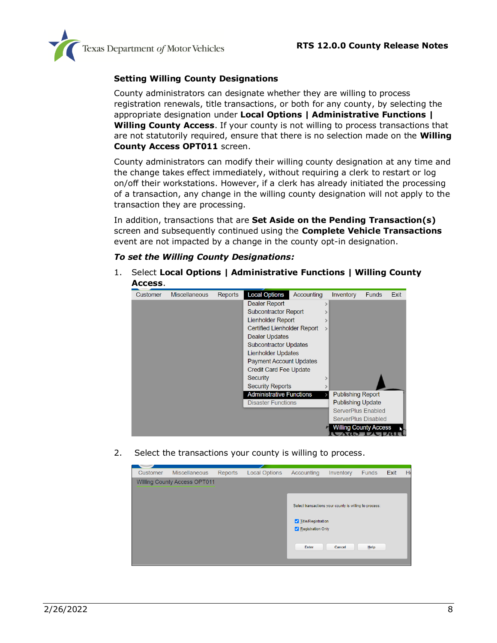

#### **Setting Willing County Designations**

County administrators can designate whether they are willing to process registration renewals, title transactions, or both for any county, by selecting the appropriate designation under **Local Options | Administrative Functions | Willing County Access**. If your county is not willing to process transactions that are not statutorily required, ensure that there is no selection made on the **Willing County Access OPT011** screen.

County administrators can modify their willing county designation at any time and the change takes effect immediately, without requiring a clerk to restart or log on/off their workstations. However, if a clerk has already initiated the processing of a transaction, any change in the willing county designation will not apply to the transaction they are processing.

In addition, transactions that are **Set Aside on the Pending Transaction(s)** screen and subsequently continued using the **Complete Vehicle Transactions** event are not impacted by a change in the county opt-in designation.

#### *To set the Willing County Designations:*

1. Select **Local Options | Administrative Functions | Willing County Access**.



2. Select the transactions your county is willing to process.

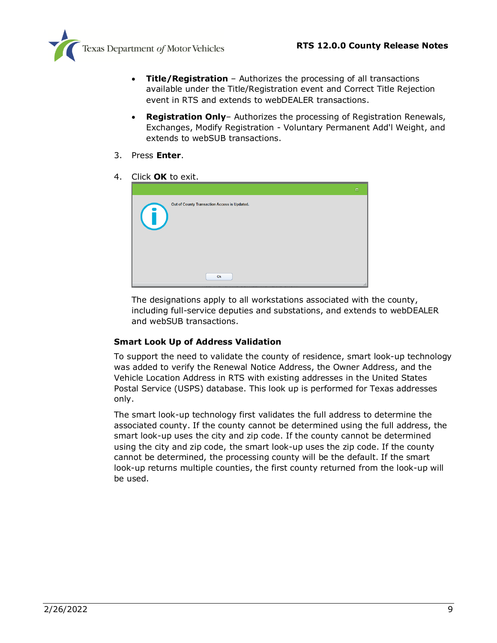

- **Title/Registration** Authorizes the processing of all transactions available under the Title/Registration event and Correct Title Rejection event in RTS and extends to webDEALER transactions.
- **Registration Only** Authorizes the processing of Registration Renewals, Exchanges, Modify Registration - Voluntary Permanent Add'l Weight, and extends to webSUB transactions.
- 3. Press **Enter**.
- 4. Click **OK** to exit.



The designations apply to all workstations associated with the county, including full-service deputies and substations, and extends to webDEALER and webSUB transactions.

#### **Smart Look Up of Address Validation**

To support the need to validate the county of residence, smart look-up technology was added to verify the Renewal Notice Address, the Owner Address, and the Vehicle Location Address in RTS with existing addresses in the United States Postal Service (USPS) database. This look up is performed for Texas addresses only.

The smart look-up technology first validates the full address to determine the associated county. If the county cannot be determined using the full address, the smart look-up uses the city and zip code. If the county cannot be determined using the city and zip code, the smart look-up uses the zip code. If the county cannot be determined, the processing county will be the default. If the smart look-up returns multiple counties, the first county returned from the look-up will be used.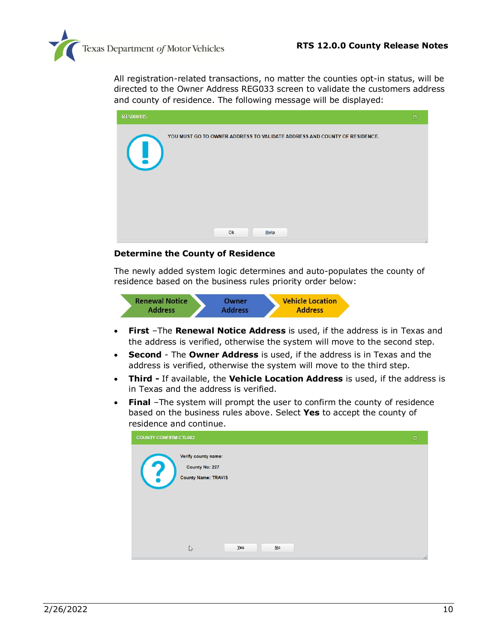

All registration-related transactions, no matter the counties opt-in status, will be directed to the Owner Address REG033 screen to validate the customers address and county of residence. The following message will be displayed:

| RT \$000185                                                                                      | $\Box$ |
|--------------------------------------------------------------------------------------------------|--------|
| YOU MUST GO TO OWNER ADDRESS TO VALIDATE ADDRESS AND COUNTY OF RESIDENCE.<br>$\left( \, \right)$ |        |
| Ok<br>Help                                                                                       |        |

#### **Determine the County of Residence**

The newly added system logic determines and auto-populates the county of residence based on the business rules priority order below:



- **First** –The **Renewal Notice Address** is used, if the address is in Texas and the address is verified, otherwise the system will move to the second step.
- **Second** The **Owner Address** is used, if the address is in Texas and the address is verified, otherwise the system will move to the third step.
- **Third -** If available, the **Vehicle Location Address** is used, if the address is in Texas and the address is verified.
- **Final** –The system will prompt the user to confirm the county of residence based on the business rules above. Select **Yes** to accept the county of residence and continue.

| <b>COUNTY CONFIRM CTL002</b> |                                                                            |             | $\Box$ |
|------------------------------|----------------------------------------------------------------------------|-------------|--------|
| (2)                          | Verify county name:<br><b>County No: 227</b><br><b>County Name: TRAVIS</b> |             |        |
|                              | $\mathbb{P}$                                                               | Yes<br>$No$ | 14     |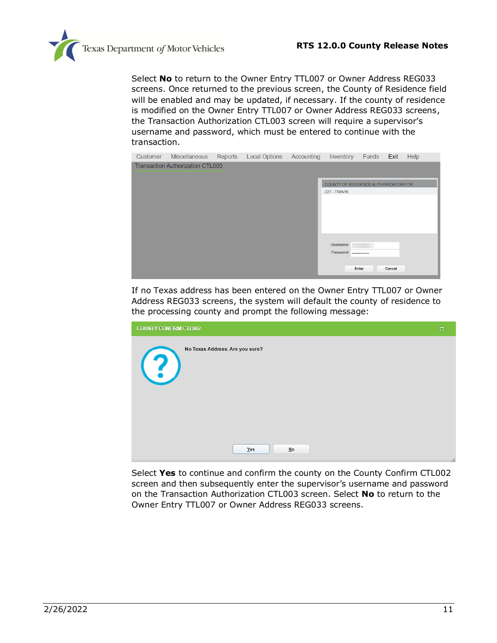

Select **No** to return to the Owner Entry TTL007 or Owner Address REG033 screens. Once returned to the previous screen, the County of Residence field will be enabled and may be updated, if necessary. If the county of residence is modified on the Owner Entry TTL007 or Owner Address REG033 screens, the Transaction Authorization CTL003 screen will require a supervisor's username and password, which must be entered to continue with the transaction.



If no Texas address has been entered on the Owner Entry TTL007 or Owner Address REG033 screens, the system will default the county of residence to the processing county and prompt the following message:

| <b>COUNTY CONFIRM CTL002</b>                         | $\Box$   |
|------------------------------------------------------|----------|
| No Texas Address. Are you sure?<br>$\left( 3\right)$ |          |
| Yes<br>$No$                                          | $\angle$ |

Select **Yes** to continue and confirm the county on the County Confirm CTL002 screen and then subsequently enter the supervisor's username and password on the Transaction Authorization CTL003 screen. Select **No** to return to the Owner Entry TTL007 or Owner Address REG033 screens.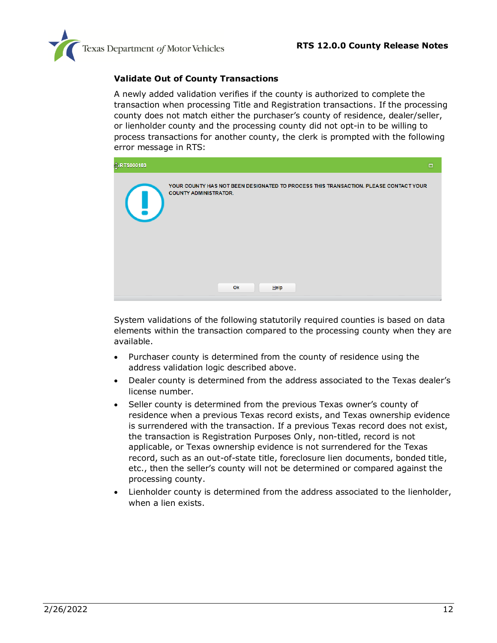

#### **Validate Out of County Transactions**

A newly added validation verifies if the county is authorized to complete the transaction when processing Title and Registration transactions. If the processing county does not match either the purchaser's county of residence, dealer/seller, or lienholder county and the processing county did not opt-in to be willing to process transactions for another county, the clerk is prompted with the following error message in RTS:

| <b>非RTS000183</b> |                                                                                                                      | $\Box$ |
|-------------------|----------------------------------------------------------------------------------------------------------------------|--------|
| $\mathbf{u}$      | YOUR COUNTY HAS NOT BEEN DESIGNATED TO PROCESS THIS TRANSACTION. PLEASE CONTACT YOUR<br><b>COUNTY ADMINISTRATOR.</b> |        |
|                   | Ok<br>Help                                                                                                           |        |

System validations of the following statutorily required counties is based on data elements within the transaction compared to the processing county when they are available.

- Purchaser county is determined from the county of residence using the address validation logic described above.
- Dealer county is determined from the address associated to the Texas dealer's license number.
- Seller county is determined from the previous Texas owner's county of residence when a previous Texas record exists, and Texas ownership evidence is surrendered with the transaction. If a previous Texas record does not exist, the transaction is Registration Purposes Only, non-titled, record is not applicable, or Texas ownership evidence is not surrendered for the Texas record, such as an out-of-state title, foreclosure lien documents, bonded title, etc., then the seller's county will not be determined or compared against the processing county.
- Lienholder county is determined from the address associated to the lienholder, when a lien exists.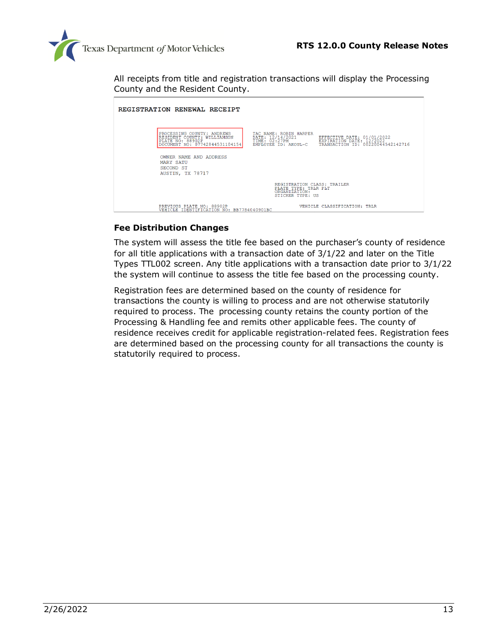

All receipts from title and registration transactions will display the Processing County and the Resident County.

| REGISTRATION RENEWAL RECEIPT                                                                                    |                                                                                          |                                                                                             |
|-----------------------------------------------------------------------------------------------------------------|------------------------------------------------------------------------------------------|---------------------------------------------------------------------------------------------|
| PROCESSING COUNTY: ANDREWS<br>RESIDENT COUNTY: WILLIAMSON<br>PLATE NO: 88902P<br>DOCUMENT NO: 07742844531104154 | TAC NAME: ROBIN HARPER<br>DATE: 12/14/2021<br>TIME: 02:27PM<br>EMPLOYEE ID: AKOUL-C      | EFFECTIVE DATE: 01/01/2022<br>EXPIRATION DATE: 12/2022<br>TRANSACTION ID: 00220044542142716 |
| OWNER NAME AND ADDRESS<br><b>MARY SATU</b><br>SECOND ST<br>AUSTIN, TX 78717                                     |                                                                                          |                                                                                             |
|                                                                                                                 | REGISTRATION CLASS: TRAILER<br>PLATE TYPE: TRLR PLT<br>ORGANIZATION:<br>STICKER TYPE: US |                                                                                             |
| PREVIOUS PLATE NO: 88902P<br>VEHICLE IDENTIFICATION NO: BB7784040901BC                                          |                                                                                          | VEHICLE CLASSIFICATION: TRLR                                                                |

#### **Fee Distribution Changes**

The system will assess the title fee based on the purchaser's county of residence for all title applications with a transaction date of 3/1/22 and later on the Title Types TTL002 screen. Any title applications with a transaction date prior to 3/1/22 the system will continue to assess the title fee based on the processing county.

Registration fees are determined based on the county of residence for transactions the county is willing to process and are not otherwise statutorily required to process. The processing county retains the county portion of the Processing & Handling fee and remits other applicable fees. The county of residence receives credit for applicable registration-related fees. Registration fees are determined based on the processing county for all transactions the county is statutorily required to process.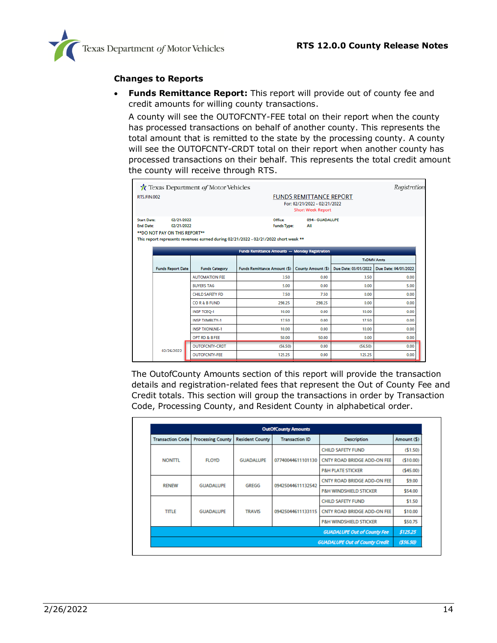

#### **Changes to Reports**

• **Funds Remittance Report:** This report will provide out of county fee and credit amounts for willing county transactions.

A county will see the OUTOFCNTY-FEE total on their report when the county has processed transactions on behalf of another county. This represents the total amount that is remitted to the state by the processing county. A county will see the OUTOFCNTY-CRDT total on their report when another county has processed transactions on their behalf. This represents the total credit amount the county will receive through RTS.

|                                                                                                      | Texas Department of Motor Vehicles |                                                                                                                      |                                                                                            |                      | Registration         |
|------------------------------------------------------------------------------------------------------|------------------------------------|----------------------------------------------------------------------------------------------------------------------|--------------------------------------------------------------------------------------------|----------------------|----------------------|
| <b>RTS.FIN.002</b>                                                                                   |                                    |                                                                                                                      | <b>FUNDS REMITTANCE REPORT</b><br>For: 02/21/2022 - 02/21/2022<br><b>Short Week Report</b> |                      |                      |
| 02/21/2022<br><b>Start Date:</b><br><b>End Date:</b><br>02/21/2022<br>** DO NOT PAY ON THIS REPORT** |                                    | Office:<br><b>Funds Type:</b><br>This report represents revenues earned during 02/21/2022 - 02/21/2022 short week ** | 094 - GUADALUPE<br>All                                                                     |                      |                      |
|                                                                                                      |                                    | Funds Remittance Amounts - Monday Registration                                                                       |                                                                                            |                      | <b>TxDMV Amts</b>    |
| <b>Funds Report Date</b>                                                                             | <b>Funds Category</b>              | Funds Remittance Amount (\$)                                                                                         | County Amount (\$)                                                                         | Due Date: 03/01/2022 | Due Date: 04/01/2022 |
|                                                                                                      | <b>AUTOMATION FEE</b>              | 3.50                                                                                                                 | 0.00                                                                                       | 3.50                 | 0.00                 |
|                                                                                                      | <b>BUYERS TAG</b>                  | 5.00                                                                                                                 | 0.00                                                                                       | 0.00                 | 5.00                 |
|                                                                                                      | <b>CHILD SAFETY FD</b>             | 750                                                                                                                  | 7.50                                                                                       | 0.00                 | 0.00                 |
|                                                                                                      | COR&B FUND                         | 298.25                                                                                                               | 298.25                                                                                     | 0.00                 | 0.00                 |
|                                                                                                      | <b>INSP TCEQ-1</b>                 | 10.00                                                                                                                | 0.00                                                                                       | 10.00                | 0.00                 |
|                                                                                                      | <b>INSP TXMBLTY-1</b>              | 17.50                                                                                                                | 0.00                                                                                       | 17.50                | 0.00                 |
|                                                                                                      | <b>INSP TXONLNE-1</b>              | 10.00                                                                                                                | 0.00                                                                                       | 10.00                | 0.00                 |
|                                                                                                      | OPT RD & B FEE                     | 50.00                                                                                                                | 50.00                                                                                      | 0.00                 | 0.00                 |
| 02/26/2022                                                                                           | <b>OUTOFCNTY-CRDT</b>              | (56.50)                                                                                                              | 0.00                                                                                       | (56.50)              | 0.00                 |
|                                                                                                      | <b>OUTOFCNTY-FEE</b>               | 125.25                                                                                                               | 0.00                                                                                       | 125.25               | 0.00                 |

The OutofCounty Amounts section of this report will provide the transaction details and registration-related fees that represent the Out of County Fee and Credit totals. This section will group the transactions in order by Transaction Code, Processing County, and Resident County in alphabetical order.

|                         | <b>OutOfCounty Amounts</b> |                        |                              |                                       |             |          |  |
|-------------------------|----------------------------|------------------------|------------------------------|---------------------------------------|-------------|----------|--|
| <b>Transaction Code</b> | <b>Processing County</b>   | <b>Resident County</b> | <b>Transaction ID</b>        | <b>Description</b>                    | Amount (\$) |          |  |
|                         |                            |                        |                              | <b>CHILD SAFETY FUND</b>              | (51.50)     |          |  |
| <b>NONTTL</b>           | <b>FLOYD</b>               | <b>GUADALUPE</b>       | 07740044611101130            | CNTY ROAD BRIDGE ADD-ON FEE           |             |          |  |
|                         |                            |                        | <b>P&amp;H PLATE STICKER</b> |                                       |             | (545.00) |  |
| <b>RENEW</b>            | <b>GUADALUPE</b>           | <b>GREGG</b>           | 09425044611132542            | CNTY ROAD BRIDGE ADD-ON FEE           | \$9.00      |          |  |
|                         |                            |                        |                              | <b>P&amp;H WINDSHIELD STICKER</b>     | \$54.00     |          |  |
|                         |                            |                        |                              | <b>CHILD SAFETY FUND</b>              | \$1.50      |          |  |
| <b>TITLE</b>            | <b>GUADALUPE</b>           | <b>TRAVIS</b>          | 09425044611133115            | CNTY ROAD BRIDGE ADD-ON FEE           | \$10.00     |          |  |
|                         |                            |                        |                              | <b>P&amp;H WINDSHIELD STICKER</b>     | \$50.75     |          |  |
|                         |                            |                        |                              | <b>GUADALUPE Out of County Fee</b>    | \$125.25    |          |  |
|                         |                            |                        |                              | <b>GUADALUPE Out of County Credit</b> | (556.50)    |          |  |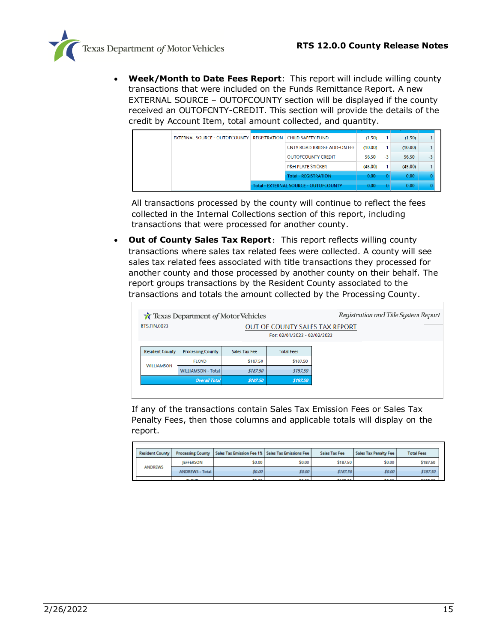

• **Week/Month to Date Fees Report**: This report will include willing county transactions that were included on the Funds Remittance Report. A new EXTERNAL SOURCE – OUTOFCOUNTY section will be displayed if the county received an OUTOFCNTY-CREDIT. This section will provide the details of the credit by Account Item, total amount collected, and quantity.

|  | <b>EXTERNAL SOURCE - OUTOFCOUNTY</b> |                                              | <b>REGISTRATION CHILD SAFETY FUND</b> | (1.50)  |      | (1.50)  |      |  |
|--|--------------------------------------|----------------------------------------------|---------------------------------------|---------|------|---------|------|--|
|  |                                      |                                              | CNTY ROAD BRIDGE ADD-ON FEE           | (10.00) |      | (10.00) |      |  |
|  |                                      |                                              | <b>OUTOFCOUNTY CREDIT</b>             | 56.50   | $-3$ | 56.50   | $-3$ |  |
|  |                                      |                                              | <b>P&amp;H PLATE STICKER</b>          | (45.00) |      | (45.00) |      |  |
|  |                                      |                                              | <b>Total - REGISTRATION</b>           | 0.00    |      | 0.00    |      |  |
|  |                                      | <b>Total - EXTERNAL SOURCE - OUTOFCOUNTY</b> | 0.00                                  |         | 0.00 |         |      |  |

All transactions processed by the county will continue to reflect the fees collected in the Internal Collections section of this report, including transactions that were processed for another county.

• **Out of County Sales Tax Report**: This report reflects willing county transactions where sales tax related fees were collected. A county will see sales tax related fees associated with title transactions they processed for another county and those processed by another county on their behalf. The report groups transactions by the Resident County associated to the transactions and totals the amount collected by the Processing County.

|                                                                                              | <b>T</b> Texas Department of Motor Vehicles | Registration and Title System Report |                   |  |  |  |
|----------------------------------------------------------------------------------------------|---------------------------------------------|--------------------------------------|-------------------|--|--|--|
| <b>RTS.FIN.0023</b><br><b>OUT OF COUNTY SALES TAX REPORT</b><br>For: 02/01/2022 - 02/02/2022 |                                             |                                      |                   |  |  |  |
| <b>Resident County</b>                                                                       | <b>Processing County</b>                    | Sales Tax Fee                        | <b>Total Fees</b> |  |  |  |
| <b>WILLIAMSON</b>                                                                            | <b>FLOYD</b>                                | \$187.50                             | \$187.50          |  |  |  |
|                                                                                              | <b>WILLIAMSON - Total</b>                   | \$187.50                             | \$187.50          |  |  |  |
|                                                                                              | <b>Overall Total</b>                        | \$187.50                             | \$187.50          |  |  |  |
|                                                                                              |                                             |                                      |                   |  |  |  |

If any of the transactions contain Sales Tax Emission Fees or Sales Tax Penalty Fees, then those columns and applicable totals will display on the report.

| <b>Resident County</b> |                        | <b>Processing County   Sales Tax Emission Fee 1%   Sales Tax Emissions Fee  </b> |        | Sales Tax Fee  | Sales Tax Penalty Fee | <b>Total Fees</b> |
|------------------------|------------------------|----------------------------------------------------------------------------------|--------|----------------|-----------------------|-------------------|
|                        | <b>IEFFERSON</b>       | \$0.00                                                                           | \$0.00 | \$187.50       | \$0.00                | \$187.50          |
| <b>ANDREWS</b>         | <b>ANDREWS - Total</b> | \$0.00                                                                           | \$0.00 | \$187.50       | \$0.00                | \$187.50          |
|                        | <b>CLOVID</b>          | <b>COLOR</b>                                                                     | 5000   | <b>CANT ON</b> | <b>COLOR</b>          | <b>CARLOS</b>     |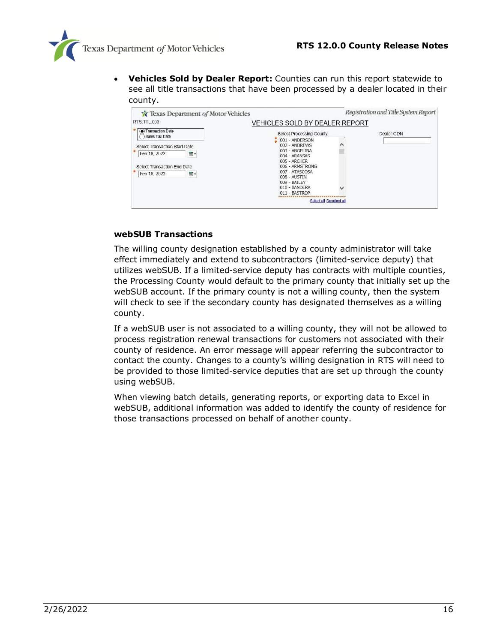

• **Vehicles Sold by Dealer Report:** Counties can run this report statewide to see all title transactions that have been processed by a dealer located in their county.

| Texas Department of Motor Vehicles                                                                        |                                                                                                                                                                                                    | Registration and Title System Report |
|-----------------------------------------------------------------------------------------------------------|----------------------------------------------------------------------------------------------------------------------------------------------------------------------------------------------------|--------------------------------------|
| RTS.TTL.003                                                                                               | <b>VEHICLES SOLD BY DEALER REPORT</b>                                                                                                                                                              |                                      |
| Transaction Date<br>Sales Tax Date                                                                        | Select Processing County                                                                                                                                                                           | Dealer GDN                           |
| Select Transaction Start Date<br>Feb 18, 2022<br>⊞ -<br>Select Transaction End Date<br>Feb 18, 2022<br>■- | 001 - ANDERSON<br>002 - ANDREWS<br>003 - ANGELINA<br>004 - ARANSAS<br>005 - ARCHER<br>006 - ARMSTRONG<br>007 - ATASCOSA<br>$008 - \text{AUSTIN}$<br>009 - BAILEY<br>010 - BANDERA<br>011 - BASTROP |                                      |
|                                                                                                           | Select all Deselect all                                                                                                                                                                            |                                      |

#### **webSUB Transactions**

The willing county designation established by a county administrator will take effect immediately and extend to subcontractors (limited-service deputy) that utilizes webSUB. If a limited-service deputy has contracts with multiple counties, the Processing County would default to the primary county that initially set up the webSUB account. If the primary county is not a willing county, then the system will check to see if the secondary county has designated themselves as a willing county.

If a webSUB user is not associated to a willing county, they will not be allowed to process registration renewal transactions for customers not associated with their county of residence. An error message will appear referring the subcontractor to contact the county. Changes to a county's willing designation in RTS will need to be provided to those limited-service deputies that are set up through the county using webSUB.

When viewing batch details, generating reports, or exporting data to Excel in webSUB, additional information was added to identify the county of residence for those transactions processed on behalf of another county.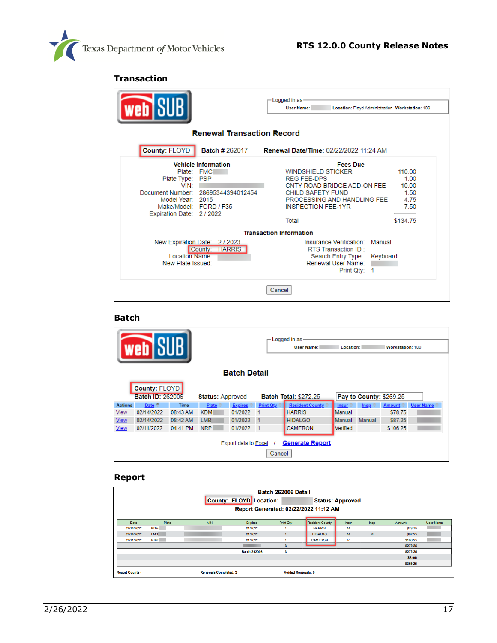

#### **Transaction**

| <b>web</b> i                                                                                                 |                                                                                | -Logged in as<br><b>User Name:</b><br>Location: Floyd Administration Workstation: 100                                                                                                       |                                                             |
|--------------------------------------------------------------------------------------------------------------|--------------------------------------------------------------------------------|---------------------------------------------------------------------------------------------------------------------------------------------------------------------------------------------|-------------------------------------------------------------|
|                                                                                                              | <b>Renewal Transaction Record</b>                                              |                                                                                                                                                                                             |                                                             |
| County: FLOYD                                                                                                |                                                                                | Batch #262017 Renewal Date/Time: 02/22/2022 11:24 AM                                                                                                                                        |                                                             |
| Plate: FMC<br>Plate Type:<br>VIN:<br>Model Year: 2015<br>Make/Model: FORD / F35<br>Expiration Date: 2 / 2022 | <b>Vehicle Information</b><br><b>PSP</b><br>Document Number: 28695344394012454 | <b>Fees Due</b><br><b>WINDSHIELD STICKER</b><br><b>REG FEE-DPS</b><br>CNTY ROAD BRIDGE ADD-ON FEE<br>CHILD SAFETY FUND<br>PROCESSING AND HANDLING FEE<br><b>INSPECTION FEE-1YR</b><br>Total | 110.00<br>1.00<br>10.00<br>1.50<br>4.75<br>7.50<br>\$134.75 |
|                                                                                                              |                                                                                | <b>Transaction Information</b>                                                                                                                                                              |                                                             |
| Location Name:<br>New Plate Issued:                                                                          | New Expiration Date: 2/2023<br><b>HARRIS</b><br>County:                        | Insurance Verification: Manual<br>RTS Transaction ID:<br>Search Entry Type: Keyboard<br>Renewal User Name:<br>Print Qtv: 1                                                                  |                                                             |
|                                                                                                              |                                                                                | Cancel                                                                                                                                                                                      |                                                             |

#### **Batch**

|                | — Logged in as-<br><b>Web</b> SU<br>Workstation: 100<br><b>User Name:</b><br>Location: |             |                         |                             |                                                         |                 |                 |                        |                          |                       |
|----------------|----------------------------------------------------------------------------------------|-------------|-------------------------|-----------------------------|---------------------------------------------------------|-----------------|-----------------|------------------------|--------------------------|-----------------------|
|                | <b>Batch Detail</b>                                                                    |             |                         |                             |                                                         |                 |                 |                        |                          |                       |
|                | County: FLOYD                                                                          |             |                         |                             |                                                         |                 |                 |                        |                          |                       |
|                | <b>Batch ID: 262006</b>                                                                |             | <b>Status: Approved</b> |                             | Pay to County: \$269.25<br><b>Batch Total: \$272.25</b> |                 |                 |                        |                          |                       |
| <b>Actions</b> | Date $\triangleq$                                                                      | <b>Time</b> | Plate $\oplus$          | $Expires$ $\Leftrightarrow$ | Print Qty $\Leftrightarrow$                             | Resident County | Insur $\hat{=}$ | $\mathsf{Insp} \oplus$ | Amount $\Leftrightarrow$ | User Name $\doteqdot$ |
| <b>View</b>    | 02/14/2022                                                                             | 08:43 AM    | <b>KDM</b>              | 01/2022                     |                                                         | <b>HARRIS</b>   | Manual          |                        | \$78.75                  |                       |
| <b>View</b>    | 02/14/2022                                                                             | 08:42 AM    | LMB <sup></sup>         | 01/2022                     | $\mathbf{1}$                                            | <b>HIDALGO</b>  | Manual          | <b>Manual</b>          | \$87.25                  |                       |
| <b>View</b>    | 02/11/2022                                                                             | 04:41 PM    | <b>NRP</b>              | 01/2022                     | -1                                                      | <b>CAMERON</b>  | Verified        |                        | \$106.25                 |                       |
|                | <b>Generate Report</b><br><b>Export data to Excel</b><br>Cancel                        |             |                         |                             |                                                         |                 |                 |                        |                          |                       |

#### **Report**

|                        |            |                              | County: FLOYD Location: | Batch 262006 Detail       | Report Generated: 02/22/2022 11:12 AM | <b>Status: Approved</b> |      |                |           |
|------------------------|------------|------------------------------|-------------------------|---------------------------|---------------------------------------|-------------------------|------|----------------|-----------|
| Date                   | Plate      | <b>VIN</b>                   | <b>Expires</b>          | <b>Print Qty</b>          | <b>Resident County</b>                | Insur                   | Insp | Amount         | User Name |
| 02/14/2022             | <b>KDM</b> |                              | 01/2022                 |                           | <b>HARRIS</b>                         | м                       |      | \$78.75        |           |
| 02/14/2022             | LMB        |                              | 01/2022                 |                           | <b>HIDALGO</b>                        | M                       | M    | <b>\$87.25</b> |           |
| 02/11/2022             | <b>NRP</b> |                              | 01/2022                 |                           | <b>CAMERON</b>                        | $\mathbf v$             |      | \$106.25       |           |
|                        |            |                              |                         |                           |                                       |                         |      | \$272.25       |           |
|                        |            |                              | <b>Batch 262006</b>     | 3                         |                                       |                         |      | \$272.25       |           |
|                        |            |                              |                         |                           |                                       |                         |      | ( \$3.00)      |           |
|                        |            |                              |                         |                           |                                       |                         |      | \$269.25       |           |
| <b>Report Counts -</b> |            | <b>Renewals Completed: 3</b> |                         | <b>Voided Renewals: 0</b> |                                       |                         |      |                |           |